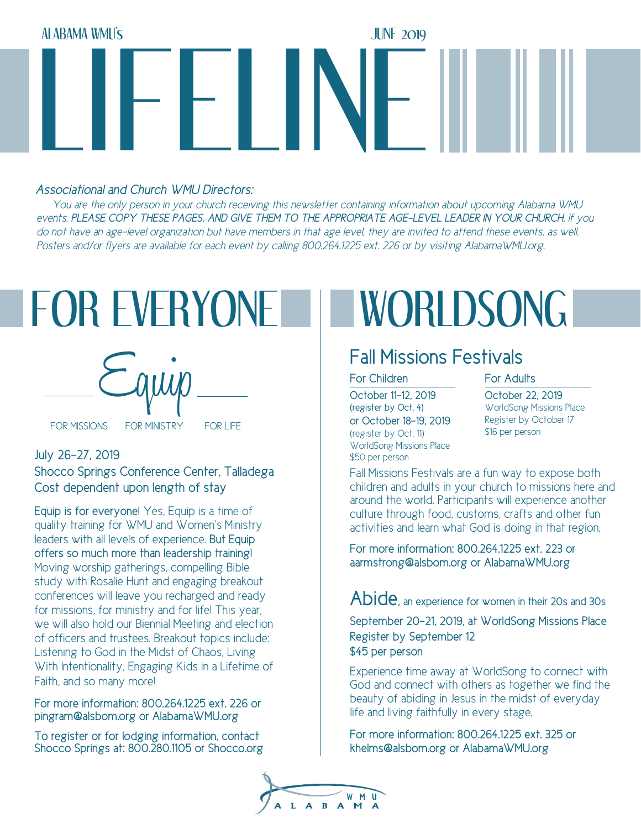

## *Associational and Church WMU Directors:*

 *You are the only person in your church receiving this newsletter containing information about upcoming Alabama WMU events. PLEASE COPY THESE PAGES, AND GIVE THEM TO THE APPROPRIATE AGE-LEVEL LEADER IN YOUR CHURCH. If you*  do not have an age-level organization but have members in that age level, they are invited to attend these events, as well. *Posters and/or flyers are available for each event by calling 800.264.1225 ext. 226 or by visiting AlabamaWMU.org.*

# FOR EVERYONE I WORLDSONG



## July 26-27, 2019 Shocco Springs Conference Center, Talladega Cost dependent upon length of stay

Equip is for everyone! Yes, Equip is a time of quality training for WMU and Women's Ministry leaders with all levels of experience. But Equip offers so much more than leadership training! Moving worship gatherings, compelling Bible study with Rosalie Hunt and engaging breakout conferences will leave you recharged and ready for missions, for ministry and for life! This year, we will also hold our Biennial Meeting and election of officers and trustees. Breakout topics include: Listening to God in the Midst of Chaos, Living With Intentionality, Engaging Kids in a Lifetime of Faith, and so many more!

For more information: 800.264.1225 ext. 226 or pingram@alsbom.org or AlabamaWMU.org

To register or for lodging information, contact Shocco Springs at: 800.280.1105 or Shocco.org

# Fall Missions Festivals

### For Children **For Adults**

October 11-12, 2019 (register by Oct. 4) or October 18-19, 2019 (register by Oct. 11) WorldSong Missions Place \$50 per person

October 22, 2019 WorldSong Missions Place Register by October 17 \$16 per person

Fall Missions Festivals are a fun way to expose both children and adults in your church to missions here and around the world. Participants will experience another culture through food, customs, crafts and other fun activities and learn what God is doing in that region.

For more information: 800.264.1225 ext. 223 or aarmstrong@alsbom.org or AlabamaWMU.org

Abide, an experience for women in their 20s and 30s

September 20-21, 2019, at WorldSong Missions Place Register by September 12 \$45 per person

Experience time away at WorldSong to connect with God and connect with others as together we find the beauty of abiding in Jesus in the midst of everyday life and living faithfully in every stage.

For more information: 800.264.1225 ext. 325 or khelms@alsbom.org or AlabamaWMU.org